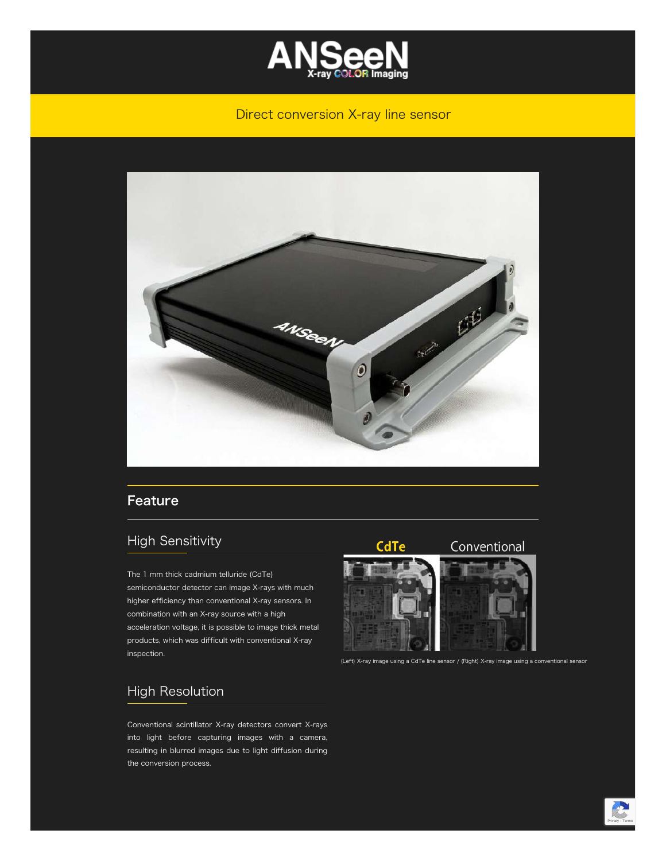

#### Direct conversion X-ray line sensor



#### Feature

## High Sensitivity

The 1 mm thick cadmium telluride (CdTe) semiconductor detector can image X-rays with much higher efficiency than conventional X-ray sensors. In combination with an X-ray source with a high acceleration voltage, it is possible to image thick metal products, which was difficult with conventional X-ray inspection.

#### CdTe

#### Conventional



(Left) X-ray image using a CdTe line sensor / (Right) X-ray image using a conventional sensor

### High Resolution

Conventional scintillator X-ray detectors convert X-rays into light before capturing images with a camera, resulting in blurred images due to light diffusion during the conversion process.

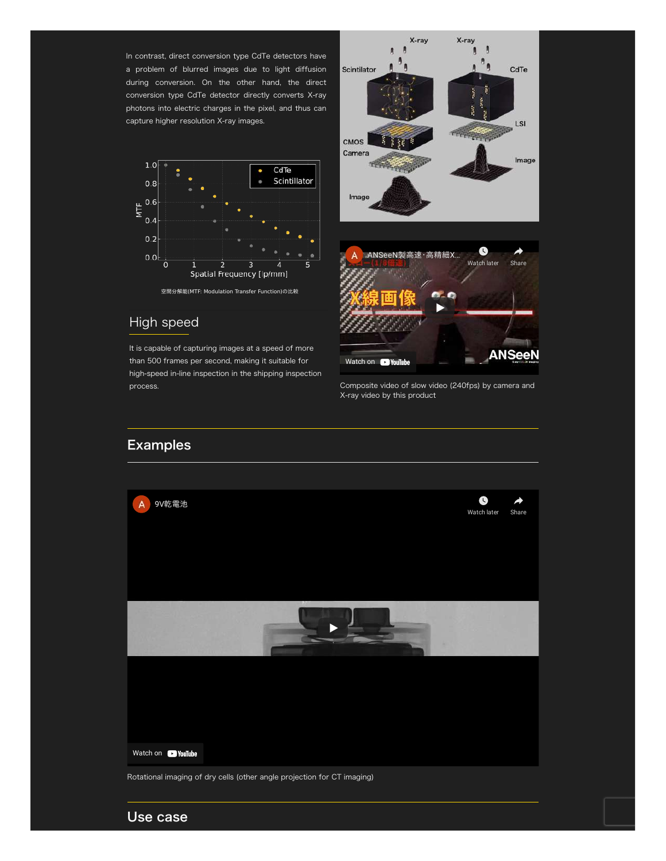In contrast, direct conversion type CdTe detectors have a problem of blurred images due to light diffusion during conversion. On the other hand, the direct conversion type CdTe detector directly converts X-ray photons into electric charges in the pixel, and thus can capture higher resolution X-ray images.



#### High speed

It is capable of capturing images at a speed of more than 500 frames per second, making it suitable for high-speed in-line inspection in the shipping inspection



process. Composite video of slow video (240fps) by camera and X-ray video by this product

## Examples



Use case